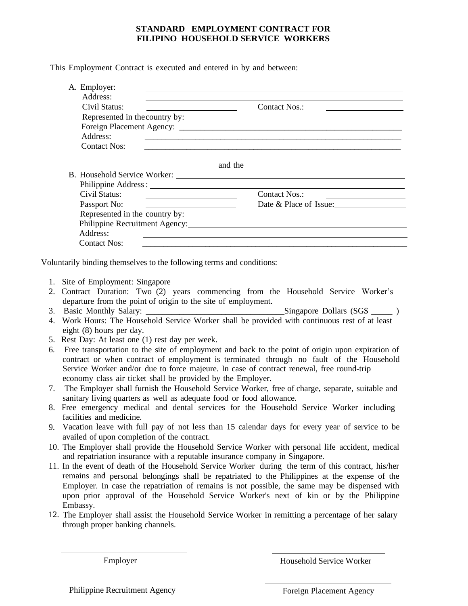## **STANDARD EMPLOYMENT CONTRACT FOR FILIPINO HOUSEHOLD SERVICE WORKERS**

This Employment Contract is executed and entered in by and between:

| Address:                                                                                                                              |                                                                                                                |
|---------------------------------------------------------------------------------------------------------------------------------------|----------------------------------------------------------------------------------------------------------------|
| Civil Status:                                                                                                                         | <b>Contact Nos.:</b>                                                                                           |
| Represented in the country by:                                                                                                        |                                                                                                                |
|                                                                                                                                       |                                                                                                                |
| Address:                                                                                                                              | <u> 1989 - John Stone, Amerikaansk politiker (* 1918)</u>                                                      |
| <b>Contact Nos:</b>                                                                                                                   | <u> 1990 - Johann Barbara, martxa alemaniar arg</u>                                                            |
|                                                                                                                                       |                                                                                                                |
|                                                                                                                                       | and the                                                                                                        |
|                                                                                                                                       |                                                                                                                |
|                                                                                                                                       |                                                                                                                |
| Civil Status:<br><u> Albanya (Albanya) albanyi di sebagai sebagai sebagai sebagai sebagai sebagai sebagai sebagai sebagai sebagai</u> | Contact Nos.:                                                                                                  |
| Passport No:<br><u> Alexandria de la contexta de la contexta de la contexta de la contexta de la contexta de la contexta de la c</u>  | Date & Place of Issue:                                                                                         |
| Represented in the country by:                                                                                                        |                                                                                                                |
|                                                                                                                                       | Philippine Recruitment Agency: New York 2014 19:30 and 2014 19:30 and 2014 19:30 and 2014 19:30 and 2014 19:30 |
| Address:                                                                                                                              | <u> 1989 - John Stone, Amerikaans en Stone († 1989)</u>                                                        |
| <b>Contact Nos:</b>                                                                                                                   |                                                                                                                |

- 1. Site of Employment: Singapore
- 2. Contract Duration: Two (2) years commencing from the Household Service Worker's departure from the point of origin to the site of employment.
- 3. Basic Monthly Salary: \_\_\_\_\_\_\_\_\_\_\_\_\_\_\_\_\_\_\_\_\_\_\_\_\_\_\_\_\_\_\_\_\_Singapore Dollars (SG\$ \_\_\_\_\_ )
- 4. Work Hours: The Household Service Worker shall be provided with continuous rest of at least eight (8) hours per day.
- 5. Rest Day: At least one (1) rest day per week.
- 6. Free transportation to the site of employment and back to the point of origin upon expiration of contract or when contract of employment is terminated through no fault of the Household Service Worker and/or due to force majeure. In case of contract renewal, free round-trip economy class air ticket shall be provided by the Employer.
- 7. The Employer shall furnish the Household Service Worker, free of charge, separate, suitable and sanitary living quarters as well as adequate food or food allowance.
- 8. Free emergency medical and dental services for the Household Service Worker including facilities and medicine.
- 9. Vacation leave with full pay of not less than 15 calendar days for every year of service to be availed of upon completion of the contract.
- 10. The Employer shall provide the Household Service Worker with personal life accident, medical and repatriation insurance with a reputable insurance company in Singapore.
- 11. In the event of death of the Household Service Worker during the term of this contract, his/her remains and personal belongings shall be repatriated to the Philippines at the expense of the Employer. In case the repatriation of remains is not possible, the same may be dispensed with upon prior approval of the Household Service Worker's next of kin or by the Philippine Embassy.
- 12. The Employer shall assist the Household Service Worker in remitting a percentage of her salary through proper banking channels.

Employer Household Service Worker

Philippine Recruitment Agency **Foreign Placement Agency**